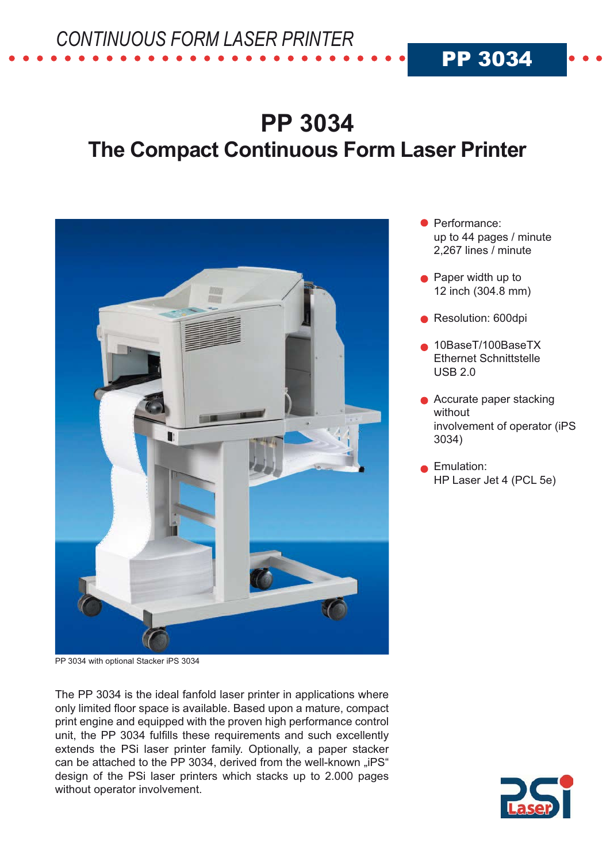## **PP 3034 The Compact Continuous Form Laser Printer**



PP 3034 with optional Stacker iPS 3034

The PP 3034 is the ideal fanfold laser printer in applications where only limited floor space is available. Based upon a mature, compact print engine and equipped with the proven high performance control unit, the PP 3034 fulfills these requirements and such excellently extends the PSi laser printer family. Optionally, a paper stacker can be attached to the PP 3034, derived from the well-known "iPS" design of the PSi laser printers which stacks up to 2.000 pages without operator involvement.

• Performance: up to 44 pages / minute 2.267 lines / minute

**PP 3034** 

- Paper width up to 12 inch (304.8 mm)
- Resolution: 600dpi
- 10BaseT/100BaseTX **Ethernet Schnittstelle USB 2.0**
- Accurate paper stacking without involvement of operator (iPS 3034)
- Emulation: HP Laser Jet 4 (PCL 5e)